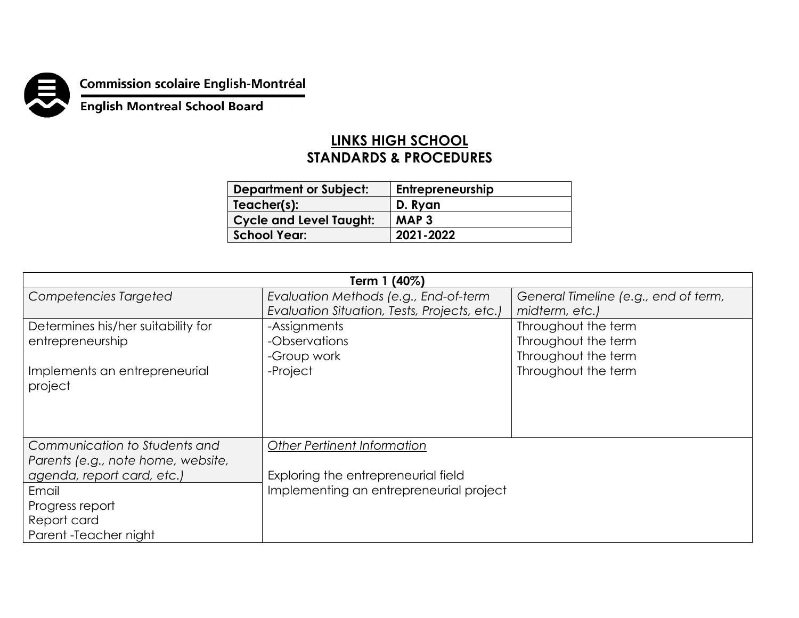

## **Commission scolaire English-Montréal<br>English Montreal School Board**

## **LINKS HIGH SCHOOL STANDARDS & PROCEDURES**

| <b>Department or Subject:</b>  | Entrepreneurship |
|--------------------------------|------------------|
| Teacher(s):                    | D. Ryan          |
| <b>Cycle and Level Taught:</b> | MAP <sub>3</sub> |
| School Year:                   | 2021-2022        |

| Term 1 (40%)                       |                                              |                                      |  |  |
|------------------------------------|----------------------------------------------|--------------------------------------|--|--|
| Competencies Targeted              | Evaluation Methods (e.g., End-of-term        | General Timeline (e.g., end of term, |  |  |
|                                    | Evaluation Situation, Tests, Projects, etc.) | midterm, etc.)                       |  |  |
| Determines his/her suitability for | -Assignments                                 | Throughout the term                  |  |  |
| entrepreneurship                   | -Observations                                | Throughout the term                  |  |  |
|                                    | -Group work                                  | Throughout the term                  |  |  |
| Implements an entrepreneurial      | -Project                                     | Throughout the term                  |  |  |
| project                            |                                              |                                      |  |  |
|                                    |                                              |                                      |  |  |
|                                    |                                              |                                      |  |  |
|                                    |                                              |                                      |  |  |
| Communication to Students and      | <b>Other Pertinent Information</b>           |                                      |  |  |
| Parents (e.g., note home, website, |                                              |                                      |  |  |
| agenda, report card, etc.)         | Exploring the entrepreneurial field          |                                      |  |  |
| Email                              | Implementing an entrepreneurial project      |                                      |  |  |
| Progress report                    |                                              |                                      |  |  |
| Report card                        |                                              |                                      |  |  |
| Parent - Teacher night             |                                              |                                      |  |  |